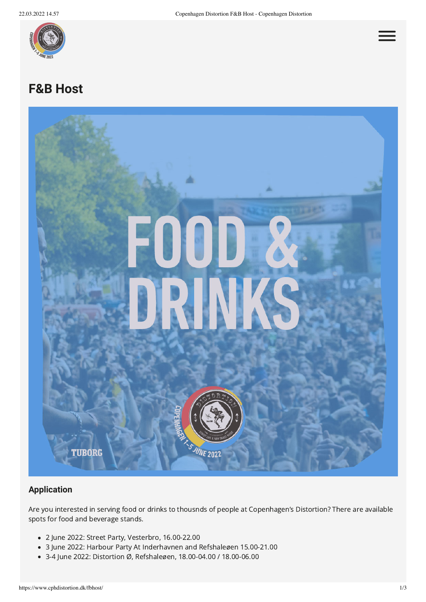

# **F&B Host**



## **Application**

Are you interested in serving food or drinks to thousnds of people at Copenhagen's Distortion? There are available spots for food and beverage stands.

- 2 June 2022: Street Party, Vesterbro, 16.00-22.00
- 3 June 2022: Harbour Party At Inderhavnen and Refshaleøen 15.00-21.00
- 3-4 June 2022: Distortion Ø, Refshaleøen, 18.00-04.00 / 18.00-06.00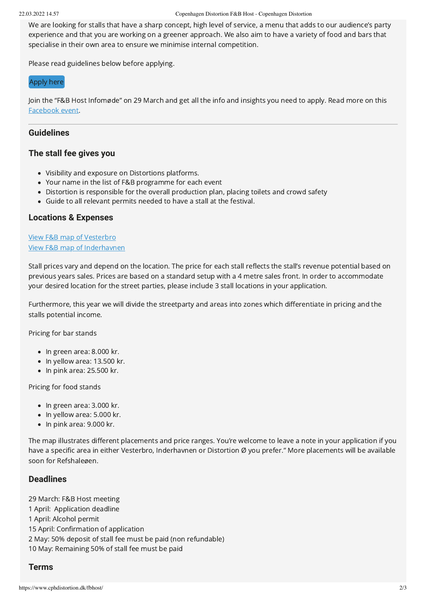We are looking for stalls that have a sharp concept, high level of service, a menu that adds to our audience's party experience and that you are working on a greener approach. We also aim to have a variety of food and bars that specialise in their own area to ensure we minimise internal competition.

Please read guidelines below before applying.

#### [Apply](https://podio.com/webforms/26839375/2047764) here

Join the "F&B Host Infomøde" on 29 March and get all the info and insights you need to apply. Read more on this [Facebook](https://fb.me/e/1cAR7k5IN) event.

#### **Guidelines**

#### **The stall fee gives you**

- Visibility and exposure on Distortions platforms.
- Your name in the list of F&B programme for each event
- Distortion is responsible for the overall production plan, placing toilets and crowd safety
- Guide to all relevant permits needed to have a stall at the festival.

#### **Locations & Expenses**

View F&B map of [Vesterbro](https://nusnus.dk/2022/fb-hosts-vesterbro-2022.pdf) View F&B map of [Inderhavnen](https://nusnus.dk/2022/fb-hosts-inderhavnen-2022.pdf)

Stall prices vary and depend on the location. The price for each stall reflects the stall's revenue potential based on previous years sales. Prices are based on a standard setup with a 4 metre sales front. In order to accommodate your desired location for the street parties, please include 3 stall locations in your application.

Furthermore, this year we will divide the streetparty and areas into zones which differentiate in pricing and the stalls potential income.

Pricing for bar stands

- $\bullet$  In green area: 8.000 kr.
- $\bullet$  In yellow area: 13.500 kr.
- $\bullet$  In pink area: 25.500 kr.

Pricing for food stands

- $\bullet$  In green area: 3.000 kr.
- $\bullet$  In yellow area: 5.000 kr.
- $\bullet$  In pink area: 9.000 kr.

The map illustrates different placements and price ranges. You're welcome to leave a note in your application if you have a specific area in either Vesterbro, Inderhavnen or Distortion Ø you prefer." More placements will be available soon for Refshaleøen.

#### **Deadlines**

 March: F&B Host meeting April: Application deadline April: Alcohol permit April: Confirmation of application May: 50% deposit of stall fee must be paid (non refundable) May: Remaining 50% of stall fee must be paid

#### **Terms**